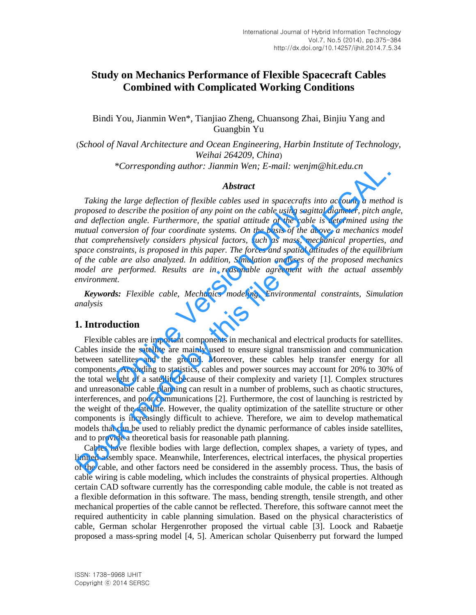# **Study on Mechanics Performance of Flexible Spacecraft Cables Combined with Complicated Working Conditions**

Bindi You, Jianmin Wen\*, Tianjiao Zheng, Chuansong Zhai, Binjiu Yang and Guangbin Yu

(*School of Naval Architecture and Ocean Engineering, Harbin Institute of Technology, Weihai 264209, China*) *\*Corresponding author: Jianmin Wen; E-mail: wenjm@hit.edu.cn*

#### *Abstract*

*Taking the large deflection of flexible cables used in spacecrafts into account, a method is proposed to describe the position of any point on the cable using sagittal diameter, pitch angle, and deflection angle. Furthermore, the spatial attitude of the cable is determined using the mutual conversion of four coordinate systems. On the basis of the above, a mechanics model that comprehensively considers physical factors, such as mass, mechanical properties, and space constraints, is proposed in this paper. The forces and spatial attitudes of the equilibrium of the cable are also analyzed. In addition, Simulation analyses of the proposed mechanics model are performed. Results are in reasonable agreement with the actual assembly environment.*  o describe the position of any point on the cable using sagit<br>tion angle. Furthermore, the spatial attitude of the cable<br>wersion of four coordinate systems. On the basis of the a-<br>rehensively considers physical factors, su

*Keywords: Flexible cable, Mechanics modeling, Environmental constraints, Simulation analysis* 

# **1. Introduction**

Flexible cables are important components in mechanical and electrical products for satellites. Cables inside the satellite are mainly used to ensure signal transmission and communication between satellites and the ground. Moreover, these cables help transfer energy for all components. According to statistics, cables and power sources may account for 20% to 30% of the total weight of a satellite because of their complexity and variety [1]. Complex structures and unreasonable cable planning can result in a number of problems, such as chaotic structures, interferences, and poor communications [2]. Furthermore, the cost of launching is restricted by the weight of the satellite. However, the quality optimization of the satellite structure or other components is increasingly difficult to achieve. Therefore, we aim to develop mathematical models that can be used to reliably predict the dynamic performance of cables inside satellites, and to provide a theoretical basis for reasonable path planning. **Example 2**<br> **Example 2**<br> **Example 2**<br> **Example 2**<br> **Example 2**<br> **Example 2**<br> **Example 2**<br> **Example 2**<br> **Example 2**<br> **Example 2**<br> **Example 2**<br> **Example 2**<br> **Example 2**<br> **Example 2**<br> **Example 2**<br> **Example 2**<br> **Example 2**<br>

Cables have flexible bodies with large deflection, complex shapes, a variety of types, and limited assembly space. Meanwhile, Interferences, electrical interfaces, the physical properties of the cable, and other factors need be considered in the assembly process. Thus, the basis of cable wiring is cable modeling, which includes the constraints of physical properties. Although certain CAD software currently has the corresponding cable module, the cable is not treated as a flexible deformation in this software. The mass, bending strength, tensile strength, and other mechanical properties of the cable cannot be reflected. Therefore, this software cannot meet the required authenticity in cable planning simulation. Based on the physical characteristics of cable, German scholar Hergenrother proposed the virtual cable [3]. Loock and Rabaetje proposed a mass-spring model [4, 5]. American [scholar](app:ds:scholar) Quisenberry put forward the lumped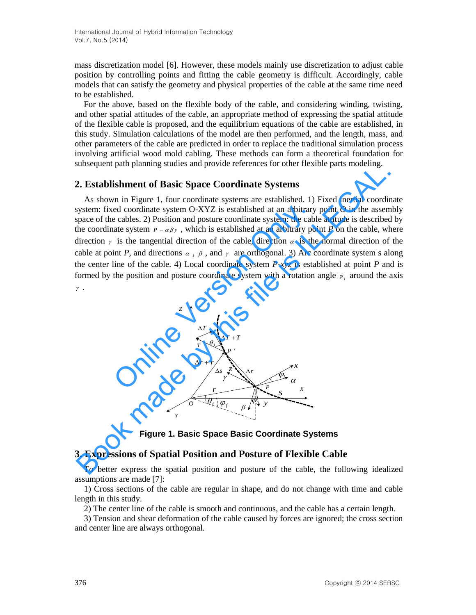mass discretization model [6]. However, these models mainly use discretization to adjust cable position by controlling points and fitting the cable geometry is difficult. Accordingly, cable models that can satisfy the geometry and physical properties of the cable at the same time need to be established.

For the above, based on the flexible body of the cable, and considering winding, twisting, and other spatial attitudes of the cable, an appropriate method of expressing the spatial attitude of the flexible cable is proposed, and the equilibrium equations of the cable are established, in this study. Simulation calculations of the model are then performed, and the length, mass, and other parameters of the cable are [predicted](http://dict.cnki.net/dict_result.aspx?searchword=%e9%a2%84%e6%b5%8b&tjType=sentence&style=&t=prediction) in order to replace the traditional simulation process involving artificial wood mold cabling. These methods can form a theoretical foundation for subsequent path planning studies and provide references for other flexible parts modeling.

## **2. Establishment of Basic Space Coordinate Systems**

As shown in Figure 1, four coordinate systems are established. 1) Fixed inertial coordinate system: fixed coordinate system O-XYZ is established at an arbitrary point *O* in the assembly space of the cables. 2) Position and posture coordinate system: the cable attitude is described by the coordinate system  $P - \alpha \beta \gamma$ , which is established at an arbitrary point *P* on the cable, where direction  $\gamma$  is the tangential direction of the cable, direction  $\alpha$  is the normal direction of the cable at point *P*, and directions  $\alpha$ ,  $\beta$ , and  $\gamma$  are orthogonal. 3) Arc coordinate system s along the center line of the cable. 4) Local coordinate system *P*-*xyz* is established at point *P* and is formed by the position and posture coordinate system with a rotation angle  $\varphi_i$  around the axis  $\gamma$ . ed coordinate system O-XYZ is established at an arbitrary<br>
e cables. 2) Position and posture coordinate system: the cab<br>
atte system  $P - \alpha \beta \gamma$ , which is established at an arbitrary pc<br>
is the tangential direction of the absolution pain planning statics and provide reticulates for other nexton pairs indefining.<br>
As shown in Figure 1, form contrinate systems are statisfieded at an arbitrary point O in the assempt<br>
As shown in Figure 1, for



**Figure 1. Basic Space Basic Coordinate Systems** 

# **3. Expressions of Spatial Position and Posture of Flexible Cable**

To better express the spatial position and posture of the cable, the following idealized assumptions are made [7]:

1) Cross sections of the cable are regular in shape, and do not change with time and cable length in this study.

2) The center line of the cable is smooth and continuous, and the cable has a certain length.

3) Tension and shear deformation of the cable caused by forces are ignored; the cross section and center line are always orthogonal.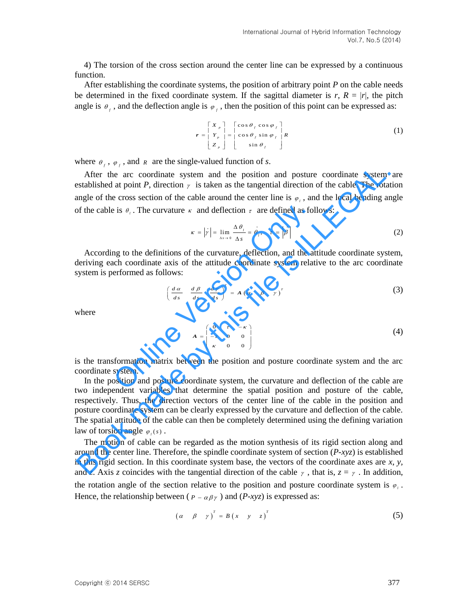4) The torsion of the cross section around the center line can be expressed by a continuous function.

After establishing the coordinate systems, the position of arbitrary point *P* on the cable needs be [determined](http://dict.cnki.net/dict_result.aspx?searchword=%e7%a1%ae%e5%ae%9a&tjType=sentence&style=&t=determined) in the fixed coordinate system. If the sagittal diameter is  $r, R = |r|$ , the pitch angle is  $\theta_f$ , and the deflection angle is  $\varphi_f$ , then the position of this point can be expressed as:

$$
\mathbf{r} = \begin{bmatrix} X & \mathbf{r} \\ Y & \mathbf{r} \\ Y_{p} & \mathbf{r} \end{bmatrix} = \begin{bmatrix} \cos \theta_{f} \cos \varphi_{f} \\ \cos \theta_{f} \sin \varphi_{f} \\ \sin \theta_{f} \end{bmatrix} R \tag{1}
$$

where  $\theta_f$ ,  $\varphi_f$ , and *R* are the single-valued function of *s*.

After the arc coordinate system and the position and posture coordinate system are established at point *P*, direction  $\gamma$  is taken as the tangential direction of the cable. The rotation angle of the cross section of the cable around the center line is  $\varphi_i$ , and the local bending angle of the cable is  $\theta_i$ . The curvature  $\kappa$  and deflection  $\tau$  are defined as follows:

$$
\kappa = |\dot{\gamma}| = \lim_{\Delta s \to 0} \frac{\Delta \theta_i}{\Delta s} = \theta_i, \quad \tau = |\dot{\beta}| \tag{2}
$$

According to the definitions of the curvature, deflection, and the attitude coordinate system, deriving each coordinate axis of the attitude coordinate system relative to the arc coordinate system is performed as follows: be is  $\theta_i$ . The curvature  $\kappa$  and deflection  $\tau$  are defined as fol<br>  $\kappa = |\dot{\gamma}| = \lim_{\Delta t \to 0} \frac{\Delta \theta_i}{\Delta s} = \dot{\theta}_i$ ,  $\tau = |\dot{\beta}|$ <br>
ang to the definitions of the curvature, deflection, and the at<br>
exchange of the attitude co

$$
\left(\frac{d\alpha}{ds} \quad \frac{d\beta}{ds} \quad \frac{d\gamma}{ds}\right)^{T} = A\left(\alpha \quad \beta \quad \gamma\right)^{T}
$$
 (3)

where

$$
A = \begin{pmatrix} 0 & \tau & -\kappa \\ -\tau & 0 & 0 \\ \kappa & 0 & 0 \end{pmatrix} \tag{4}
$$

is the transformation matrix between the position and posture coordinate system and the arc coordinate system.

In the position and posture coordinate system, the curvature and deflection of the cable are two independent variables that determine the spatial position and posture of the cable, respectively. Thus, the direction vectors of the center line of the cable in the position and posture coordinate system can be clearly expressed by the curvature and deflection of the cable. The spatial attitude of the cable can then be completely determined using the defining variation law of torsion angle  $\varphi_i(s)$ . After the are coordinate system and the position and posture coordinate system<br>stablished at point *P*, direction  $\gamma$  is taken as the tangential direction of the cable. The rota<br>significant of the cable and deflection  $\$ 

The motion of cable can be regarded as the motion synthesis of its rigid section along and around the center line. Therefore, the spindle coordinate system of section (*P-xyz*) is established in this rigid section. In this coordinate system base, the vectors of the coordinate axes are *x*, *y,*  and *z*. Axis *z* coincides with the tangential direction of the cable  $\gamma$ , that is,  $z = \gamma$ . In addition, the rotation angle of the section relative to the position and posture coordinate system is  $\varphi$ . Hence, the relationship between ( $P - \alpha \beta \gamma$ ) and ( $P - xyz$ ) is expressed as:

$$
\begin{pmatrix} \alpha & \beta & \gamma \end{pmatrix}^T = B \begin{pmatrix} x & y & z \end{pmatrix}^T \tag{5}
$$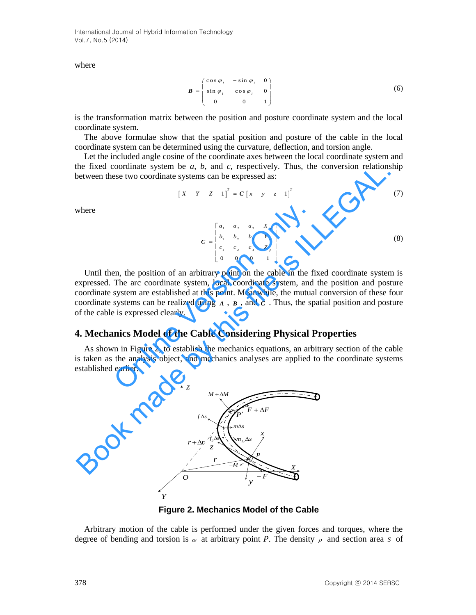International Journal of Hybrid Information Technology Vol.7, No.5 (2014)

where

$$
\boldsymbol{B} = \begin{pmatrix} \cos \varphi_i & -\sin \varphi_i & 0 \\ \sin \varphi_i & \cos \varphi_i & 0 \\ 0 & 0 & 1 \end{pmatrix}
$$
 (6)

is the transformation matrix between the position and posture coordinate system and the local coordinate system.

The above formulae show that the spatial position and posture of the cable in the local coordinate system can be determined using the curvature, deflection, and torsion angle.

Let the included angle cosine of the coordinate axes between the local coordinate system and the fixed coordinate system be *a*, *b*, and *c*, respectively. Thus, the conversion relationship between these two coordinate systems can be expressed as:

$$
\begin{bmatrix} X & Y & Z & 1 \end{bmatrix}^T = C \begin{bmatrix} x & y & z & 1 \end{bmatrix}^T \tag{7}
$$

where

$$
C = \begin{bmatrix} a_1 & a_2 & a_3 & X_p \\ b_1 & b_2 & b_3 & Y_p \\ c_1 & c_2 & c_3 & Z_p \\ 0 & 0 & 0 & 1 \end{bmatrix}
$$
 (8)

Until then, the position of an arbitrary point on the cable in the fixed coordinate system is expressed. The arc coordinate system, local coordinate system, and the position and posture coordinate system are established at this point. Meanwhile, the mutual conversion of these four coordinate systems can be realized using  $A$ ,  $B$ , and  $C$ . Thus, the spatial position and posture of the cable is expressed clearly.  $C = \begin{bmatrix} a_1 & a_2 & a_3 & X_p \\ b_1 & b_2 & b_3 & Y_p \\ c_1 & c_2 & c_3 & Z_p \\ 0 & 0 & 0 & 1 \end{bmatrix}$ <br>
en, the position of an arbitrary point on the cable in the fi<br>
The arc coordinate system, local coordinate system, and<br>
systems can be realized usi

# **4. Mechanics Model of the Cable Considering Physical Properties**

As shown in Figure 2, to establish the mechanics equations, an arbitrary section of the cable is taken as the analysis object, and mechanics analyses are applied to the coordinate systems established earlier.



**Figure 2. Mechanics Model of the Cable** 

Arbitrary motion of the cable is performed under the given forces and torques, where the degree of bending and torsion is  $\omega$  at arbitrary point *P*. The density  $\rho$  and section area *s* of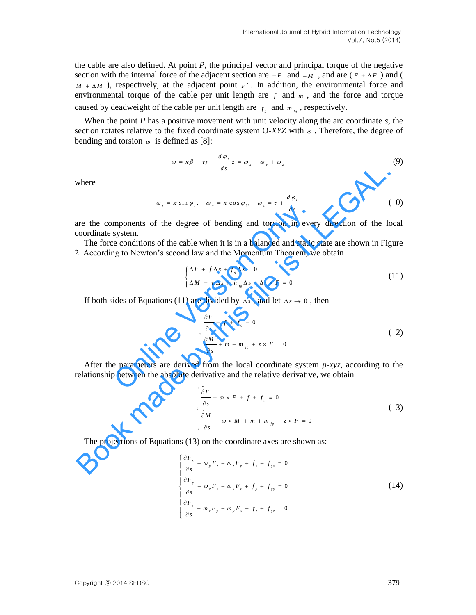the cable are also defined. At point *P*, the principal vector and principal torque of the negative section with the internal force of the adjacent section are  $-F$  and  $-M$ , and are  $(F + \Delta F)$  and (  $M + \Delta M$ ), respectively, at the adjacent point  $P'$ . In addition, the environmental force and environmental torque of the cable per unit length are  $f$  and  $m$ , and the force and torque caused by deadweight of the cable per unit length are  $f<sub>g</sub>$  and  $m<sub>fg</sub>$ , respectively.

When the point *P* has a positive movement with unit velocity along the arc coordinate *s*, the section rotates relative to the fixed coordinate system  $O-XYZ$  with  $\omega$ . Therefore, the degree of bending and torsion  $\omega$  is defined as [8]:

$$
\omega = \kappa \beta + \tau \gamma + \frac{d \varphi_{i}}{ds} z = \omega_{x} + \omega_{y} + \omega_{z}
$$
 (9)

where

$$
\omega_x = \kappa \sin \varphi_t, \quad \omega_y = \kappa \cos \varphi_t, \quad \omega_z = \tau + \frac{d \varphi_t}{ds}
$$
 (10)

are the components of the degree of bending and torsion in every direction of the local coordinate system.

The force conditions of the cable when it is in a balanced and static state are shown in Figure 2. According to Newton's second law and the Momentum Theorem, we obtain

$$
\begin{cases} \Delta F + f \Delta s + f_s \Delta s = 0 \\ \Delta M + m \Delta s + m_{fs} \Delta s + \Delta r \times F = 0 \end{cases}
$$
 (11)

If both sides of Equations (11) are divided by  $\Delta s$ , and let  $\Delta s \to 0$ , then

mponents of the degree of bending and torsion in every direction of the local  
system.  
\ne conditions of the cable when it is in a balanced and static state are shown in Figure  
\nng to Newton's second law and the Momentum Theorem, we obtain  
\n
$$
\begin{cases}\n\Delta F + f \Delta s + f_s \Delta s = 0 \\
\Delta M + m \Delta s + m_{fs} \Delta s + \Delta r \times F = 0\n\end{cases}
$$
\n(11)  
\nides of Equations (11) are divided by  $\Delta s$ , and let  $\Delta s \rightarrow 0$ , then  
\n
$$
\begin{cases}\n\frac{\partial F}{\partial s} + f + f_s = 0 \\
\frac{\partial M}{\partial s} + m + m_{fs} + z \times F = 0\n\end{cases}
$$
\n(12)  
\ne parameters are derived from the local coordinate system *p*-xyz, according to the  
\nbetween the absolute derivative and the relative derivative, we obtain

After the parameters are derived from the local coordinate system *p-xyz*, according to the relationship between the absolute derivative and the relative derivative, we obtain

where  
\n
$$
\omega_x = \kappa \sin \varphi_1, \quad \omega_y = \kappa \cos \varphi_1, \quad \omega_z = \tau + \frac{d\varphi_1}{ds}
$$
\n(10)  
\nare the components of the degree of bending and torsion in every direction of the local  
\ncoordinate system.  
\nThe force conditions of the cable when it is in a balanced and static state are shown in Figure  
\n2. According to Newton's second law and the Momentum Theorem, we obtain  
\n
$$
\begin{cases}\n\Delta F + f \Delta s + f_s \Delta s = 0 \\
\Delta M + m \Delta s + m_{fs} \Delta s + \Delta r \times F = 0\n\end{cases}
$$
\n(11)  
\nIf both sides of Equations (11) are divided by  $\Delta s$ , and let  $\Delta s \rightarrow 0$ , then  
\n
$$
\begin{cases}\n\frac{\partial F}{\partial s} + f + f_s = 0 \\
\frac{\partial M}{\partial s} + m + m_{ls} + z \times F = 0\n\end{cases}
$$
\n(12)  
\nAfter the parameters are derived from the local coordinate system *p*-xyz, according to the  
\nrelationship between the absolute derivative and the relative derivative, we obtain  
\n
$$
\begin{cases}\n\frac{\partial F}{\partial s} + \omega \times F + f + f_s = 0 \\
\frac{\partial M}{\partial s} + \omega \times M + m + m_{ls} + z \times F = 0 \\
\frac{\partial M}{\partial s} + \omega \times M + m + m_{ls} + z \times F = 0\n\end{cases}
$$
\n(13)  
\nThe projections of Equations (13) on the coordinate axes are shown as:  
\n
$$
\begin{cases}\n\frac{\partial F_x}{\partial s} + \omega_y F_z - \omega_z F_y + f_s + f_{ss} = 0 \\
\frac{\partial F_x}{\partial s} + \omega_y F_z - \omega_z F_y + f_s + f_{ss} = 0\n\end{cases}
$$

The projections of Equations (13) on the coordinate axes are shown as:

$$
\begin{cases}\n\frac{\partial F_x}{\partial s} + \omega_y F_z - \omega_z F_y + f_x + f_{gx} = 0 \\
\frac{\partial F_y}{\partial s} + \omega_z F_x - \omega_x F_z + f_y + f_{gy} = 0 \\
\frac{\partial F_z}{\partial s} + \omega_x F_y - \omega_y F_x + f_z + f_{gz} = 0\n\end{cases}
$$
\n(14)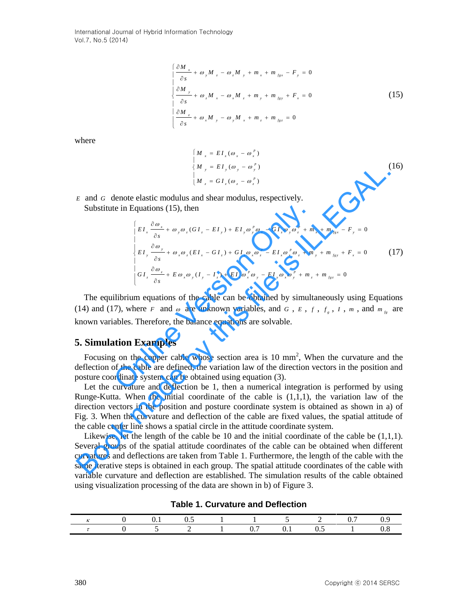International Journal of Hybrid Information Technology Vol.7, No.5 (2014)

$$
\begin{cases}\n\frac{\partial M_x}{\partial s} + \omega_y M_z - \omega_z M_y + m_x + m_{fsx} - F_y = 0 \\
\frac{\partial M_y}{\partial s} + \omega_z M_x - \omega_x M_z + m_y + m_{fsy} + F_x = 0 \\
\frac{\partial M_z}{\partial s} + \omega_x M_y - \omega_y M_x + m_z + m_{fsz} = 0\n\end{cases}
$$
\n(15)

where

$$
\begin{cases}\nM_x = EI_x (\omega_x - \omega_x^p) \\
M_y = EI_y (\omega_y - \omega_y^p) \\
M_z = GI_z (\omega_z - \omega_z^p)\n\end{cases}
$$
\n(16)

- *E* and *G* denote elastic modulus and shear modulus, respectively.
	- Substitute in Equations (15), then

E and G denote elastic modulus and shear modulus, respectively.  
\nE and G denote elastic modulus and shear modulus, respectively.  
\nSubstitute in Equations (15), then  
\n
$$
\begin{bmatrix}\nE I_x \frac{\partial \omega_x}{\partial s} + \omega_y \omega_z (GI_z - EI_y) + EI_z \omega_z^v \omega_z - GI_z \omega_z \omega_z^v + m_x + m_{fxz} - F_y = 0 \\
EI_z \frac{\partial \omega_y}{\partial s} + \omega_z \omega_z (EI_z - GI_z) + GI_z \omega_z \omega_z^v - GI_z \omega_z \omega_z^v + m_y + m_{fxz} + F_z = 0\n\end{bmatrix}
$$
\n(17)  
\n
$$
\begin{bmatrix}\n\frac{\partial \omega_x}{\partial s} + E \omega_x \omega_y (EI_z - GI_z) + EI_z \omega_z^v \omega_z^v - EI_z \omega_z^v \omega_z + m_y + m_{fxz} = 0 \\
GI_z \frac{\partial \omega_z}{\partial s} + E \omega_z \omega_y (I_y - I_z) + EI_z \omega_z^v \omega_y - EI_z \omega_z \omega_z^v + m_z + m_{fxz} = 0\n\end{bmatrix}
$$
\nThe equilibrium equations of the cable can be obtained by simultaneously using Equations (14) and (17), where F and  $\omega$  are unknown variables, and G, E, f, f, f, I, m, and m<sub>fx</sub> are known variables. Therefore, the balance equations are solvable.  
\n**5. Simulation Examples**  
\nFocusing on the copper cable whose section area is 10 mm<sup>2</sup>, When the curvature and the deflection of the adrlication vectors in the position and the deflection of the calculation (3). Let the curvature and deflection be 1, then a numerical integration is performed by using Runge-Kutta. When the initial coordinate of the cable is (1,1,1), the variation law of the direction vectors in the position and posture coordinate system is obtained as shown in a) of the cable center line shows a spatial attribute coordinate system.  
\nLikewise, let the length of the cable be 10 and the initial coordinate of the cable be (1,1,1). Several groups of the spatial attitude coordinates of the cable can be obtained when different curvatures and deflections are taken from Table 1. Furthermore, the length of the cable with the same iterative steps is obtained in each group. The spatial attitude coordinates of the cable with the same iterative steps is obtained in each graph. Each width of the cable can be obtained when the same interval is not defined by the field.

The equilibrium equations of the cable can be obtained by simultaneously using Equations (14) and (17), where *F* and  $\omega$  are unknown variables, and  $G$ ,  $E$ ,  $f$ ,  $f<sub>g</sub>$ ,  $I$ ,  $m$ , and  $m<sub>fg</sub>$  are known variables. Therefore, the balance equations are solvable.

## **5. Simulation Examples**

Focusing on the copper cable whose section area is  $10 \text{ mm}^2$ , When the curvature and the deflection of the cable are defined, the variation law of the direction vectors in the position and posture coordinate system can be obtained using equation (3).

Let the curvature and deflection be 1, then a numerical integration is performed by using Runge-Kutta. When the initial coordinate of the cable is  $(1,1,1)$ , the variation law of the direction vectors in the position and posture coordinate system is obtained as shown in a) of Fig. 3. When the curvature and deflection of the cable are fixed values, the spatial attitude of the cable center line shows a spatial circle in the attitude coordinate system.

Likewise, let the length of the cable be  $10$  and the initial coordinate of the cable be  $(1,1,1)$ . Several groups of the spatial attitude coordinates of the cable can be obtained when different curvatures and deflections are taken from Table 1. Furthermore, the length of the cable with the same iterative steps is obtained in each group. The spatial attitude coordinates of the cable with variable curvature and deflection are established. The simulation results of the cable obtained using visualization processing of the data are shown in b) of Figure 3.

|  |  | 0 0.1 0.5 1 1 5 2 0.7 0.9        |  |  |
|--|--|----------------------------------|--|--|
|  |  | $\tau$ 0 5 2 1 0.7 0.1 0.5 1 0.8 |  |  |

**Table 1. Curvature and Deflection**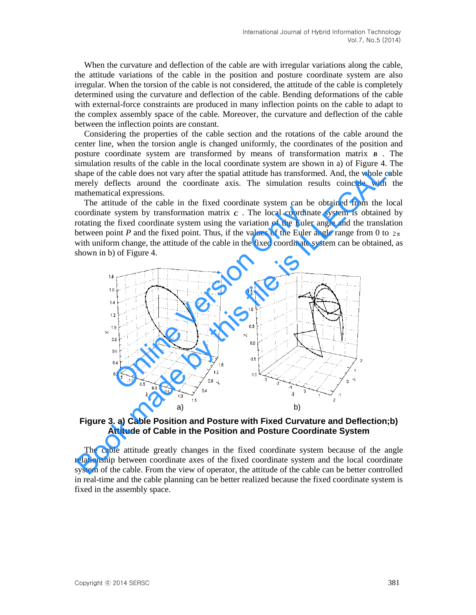When the curvature and deflection of the cable are with irregular variations along the cable, the attitude variations of the cable in the position and posture coordinate system are also irregular. When the torsion of the cable is not considered, the attitude of the cable is completely determined using the curvature and deflection of the cable. Bending deformations of the cable with external-force constraints are produced in many inflection points on the cable to adapt to the complex assembly space of the cable. Moreover, the curvature and deflection of the cable between the inflection points are constant.

Considering the properties of the cable section and the rotations of the cable around the center line, when the torsion angle is changed uniformly, the coordinates of the position and posture coordinate system are transformed by means of transformation matrix *B* . The simulation results of the cable in the local coordinate system are shown in a) of Figure 4. The shape of the cable does not vary after the spatial attitude has transformed. And, the whole cable merely deflects around the coordinate axis. The simulation results coincide with the mathematical expressions.

The attitude of the cable in the fixed coordinate system can be obtained from the local coordinate system by transformation matrix  $c$ . The local coordinate system is obtained by rotating the fixed coordinate system using the variation of the Euler angle and the translation between point *P* and the fixed point. Thus, if the values of the Euler angle range from 0 to  $2\pi$ with uniform change, the attitude of the cable in the fixed coordinate system can be obtained, as shown in b) of Figure 4.



**Figure 3. a) Cable Position and Posture with Fixed Curvature and Deflection;b) Attitude of Cable in the Position and Posture Coordinate System** 

The cable attitude greatly changes in the fixed coordinate system because of the angle relationship between coordinate axes of the fixed coordinate system and the local coordinate system of the cable. From the view of operator, the attitude of the cable can be better controlled in real-time and the cable planning can be better realized because the fixed coordinate system is fixed in the assembly space.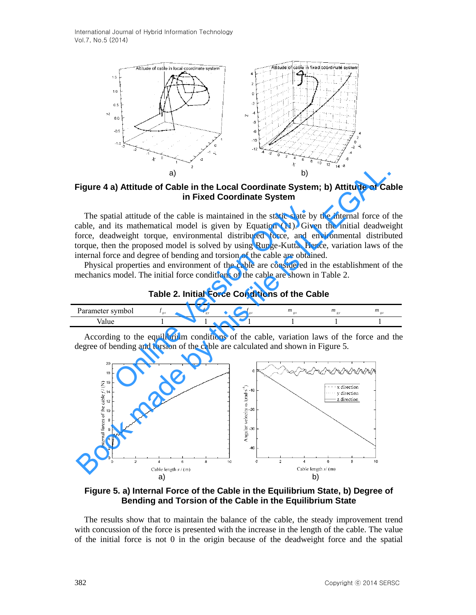International Journal of Hybrid Information Technology Vol.7, No.5 (2014)



**Figure 4 a) Attitude of Cable in the Local Coordinate System; b) Attitude of Cable in Fixed Coordinate System** 

The spatial attitude of the cable is maintained in the static state by the internal force of the cable, and its mathematical model is given by Equation (11). Given the initial deadweight force, deadweight torque, environmental distributed force, and environmental distributed torque, then the proposed model is solved by using Runge-Kutta. Hence, variation laws of the internal force and degree of bending and torsion of the cable are obtained. ial attitude of the cable is maintained in the static state by<br>its mathematical model is given by Equation (11). Give<br>dweight torque, environmental distributed force, and e<br>n the proposed model is solved by using Runge-Ku

Physical properties and environment of the cable are considered in the establishment of the mechanics model. The initial force conditions of the cable are shown in Table 2.

**Table 2. Initial Force Conditions of the Cable** 

| $C = T + R$<br>.<br><b>HIDOI</b> |  | $-1$<br>m | m | m |
|----------------------------------|--|-----------|---|---|
|                                  |  |           |   |   |

According to the equilibrium conditions of the cable, variation laws of the force and the degree of bending and torsion of the cable are calculated and shown in Figure 5.



**Figure 5. a) Internal Force of the Cable in the Equilibrium State, b) Degree of Bending and Torsion of the Cable in the Equilibrium State** 

The results show that to maintain the balance of the cable, the steady improvement trend with concussion of the force is presented with the increase in the length of the cable. The value of the initial force is not 0 in the origin because of the deadweight force and the spatial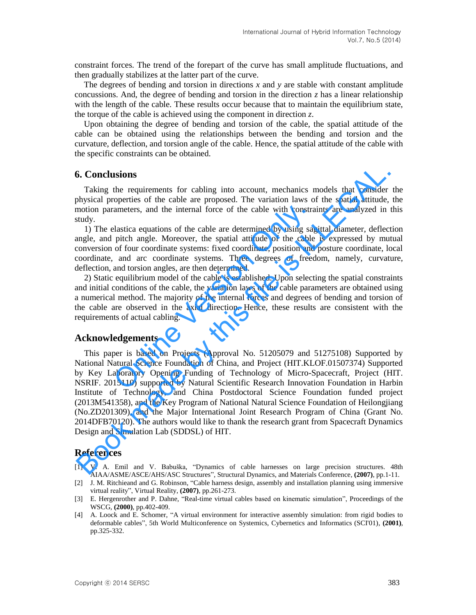constraint forces. The trend of the forepart of the curve has [small amplitude](http://dict.cnki.net/dict_result.aspx?searchword=%e5%b0%8f%e5%b9%85%e5%ba%a6&tjType=sentence&style=&t=small+amplitude) fluctuations, and then gradually stabilizes at the latter part of the curve.

The degrees of bending and torsion in directions *x* and *y* are stable with constant amplitude concussions. And, the degree of bending and torsion in the direction *z* has a linear relationship with the length of the cable. These results occur because that to maintain the equilibrium state, the torque of the cable is achieved using the component in direction *z*.

Upon obtaining the degree of bending and torsion of the cable, the spatial attitude of the cable can be obtained using the relationships between the bending and torsion and the curvature, deflection, and torsion angle of the cable. Hence, the spatial attitude of the cable with the specific constraints can be obtained.

# **6. Conclusions**

Taking the requirements for cabling into account, mechanics models that consider the physical properties of the cable are proposed. The variation laws of the spatial attitude, the motion parameters, and the internal force of the cable with constraints are analyzed in this study.

1) The elastica equations of the cable are determined by using sagittal diameter, deflection angle, and pitch angle. Moreover, the spatial attitude of the cable is expressed by mutual conversion of four coordinate systems: fixed coordinate, position and posture coordinate, local coordinate, and arc coordinate systems. Three degrees of freedom, namely, curvature, deflection, and torsion angles, are then determined.

2) Static equilibrium model of the cable is established. Upon selecting the spatial constraints and initial conditions of the cable, the variation laws of the cable parameters are obtained using a numerical method. The majority of the internal forces and degrees of bending and torsion of the cable are observed in the axial direction. Hence, these results are consistent with the requirements of actual cabling. ameters, and the internal force of the cable with constra<br>
elastica equations of the cable are determined by using sag<br>
pitch angle. Moreover, the spatial attitude of the cable<br>
of four coordinate systems: fixed coordinate

## **Acknowledgements**

This paper is based on Projects (Approval No. 51205079 and 51275108) Supported by National Natural Science Foundation of China, and Project (HIT.KLOF.01507374) Supported by Key Laboratory Opening Funding of Technology of Micro-Spacecraft, Project (HIT. NSRIF. 2015110) supported by Natural Scientific Research Innovation Foundation in Harbin Institute of Technology, and China Postdoctoral Science Foundation funded project (2013M541358), and the Key Program of National Natural Science Foundation of Heilongjiang (No.ZD201309), and the Major International Joint Research Program of China (Grant No. 2014DFB70120). The authors would like to thank the research grant from Spacecraft Dynamics Design and Simulation Lab (SDDSL) of HIT. **6. Conclusions**<br> **Taking** the requirements for cabling into account, mechanics models that consider<br>
physical properties of the cable are proposed. The variation laws of the spatial at<br>
motion parameters, and the internal

## **References**

- [1] V. A. Emil and V. Babuška, "Dynamics of cable harnesses on large precision structures. 48th AIAA/ASME/ASCE/AHS/ASC Structures", Structural Dynamics, and Materials Conference, **(2007)**, pp.1-11.
- [2] J. M. Ritchieand and G. Robinson, "Cable harness design, assembly and installation planning using immersive virtual reality", Virtual Reality, **(2007)**, pp.261-273.
- [3] E. Hergenrother and P. Dahne, "Real-time virtual cables based on kinematic simulation", Proceedings of the WSCG, **(2000)**, pp.402-409.
- [4] A. Loock and E. Schomer, "A virtual environment for interactive assembly simulation: from rigid bodies to deformable cables", 5th World Multiconference on Systemics, Cybernetics and Informatics (SCI'01), **(2001)**, pp.325-332.